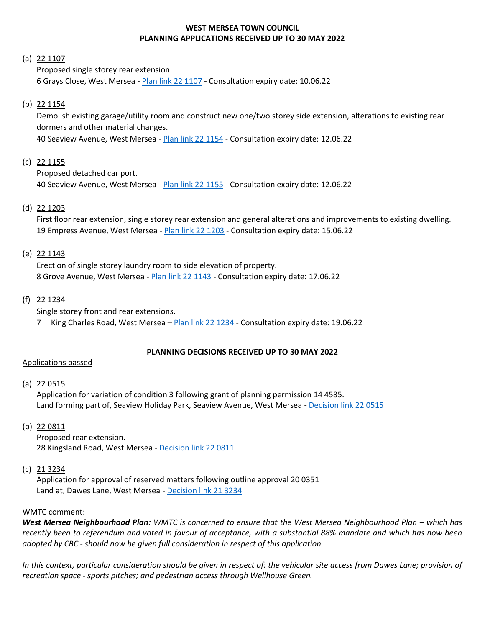## **WEST MERSEA TOWN COUNCIL PLANNING APPLICATIONS RECEIVED UP TO 30 MAY 2022**

### (a) 22 1107

Proposed single storey rear extension. 6 Grays Close, West Mersea - [Plan link 22](https://www.colchester.gov.uk/wampd/?id=221107) 1107 - Consultation expiry date: 10.06.22

### (b) 22 1154

Demolish existing garage/utility room and construct new one/two storey side extension, alterations to existing rear dormers and other material changes.

40 Seaview Avenue, West Mersea - [Plan link 22](https://www.colchester.gov.uk/wampd/?id=221154) 1154 - Consultation expiry date: 12.06.22

### (c) 22 1155

Proposed detached car port.

40 Seaview Avenue, West Mersea - [Plan link 22 1155](https://www.colchester.gov.uk/wampd/?id=221155) - Consultation expiry date: 12.06.22

### (d) 22 1203

First floor rear extension, single storey rear extension and general alterations and improvements to existing dwelling. 19 Empress Avenue, West Mersea - [Plan link 22](https://www.colchester.gov.uk/wampd/?id=221203) 1203 - Consultation expiry date: 15.06.22

### (e) 22 1143

Erection of single storey laundry room to side elevation of property. 8 Grove Avenue, West Mersea - [Plan link 22](https://www.colchester.gov.uk/wampd/?id=221143) 1143 - Consultation expiry date: 17.06.22

### (f) 22 1234

Single storey front and rear extensions.

7 King Charles Road, West Mersea – [Plan link 22 1234](https://www.colchester.gov.uk/wampd/?id=221234) - Consultation expiry date: 19.06.22

#### **PLANNING DECISIONS RECEIVED UP TO 30 MAY 2022**

#### Applications passed

(a) 22 0515

Application for variation of condition 3 following grant of planning permission 14 4585. Land forming part of, Seaview Holiday Park, Seaview Avenue, West Mersea - [Decision link 22 0515](https://d0cs.colchester.gov.uk/Publisher/mvc/listDocuments?identifier=DC&ref=220515)

### (b) 22 0811

Proposed rear extension. 28 Kingsland Road, West Mersea - [Decision link 22](https://d0cs.colchester.gov.uk/Publisher/mvc/listDocuments?identifier=DC&ref=220811) 0811

#### $(c)$  21 3234

Application for approval of reserved matters following outline approval 20 0351 Land at, Dawes Lane, West Mersea - [Decision link 21 3234](https://d0cs.colchester.gov.uk/Publisher/mvc/listDocuments?identifier=DC&ref=213234)

#### WMTC comment:

**West Mersea Neighbourhood Plan:** WMTC is concerned to ensure that the West Mersea Neighbourhood Plan – which has *recently been to referendum and voted in favour of acceptance, with a substantial 88% mandate and which has now been adopted by CBC - should now be given full consideration in respect of this application.*

In this context, particular consideration should be given in respect of: the vehicular site access from Dawes Lane; provision of *recreation space - sports pitches; and pedestrian access through Wellhouse Green.*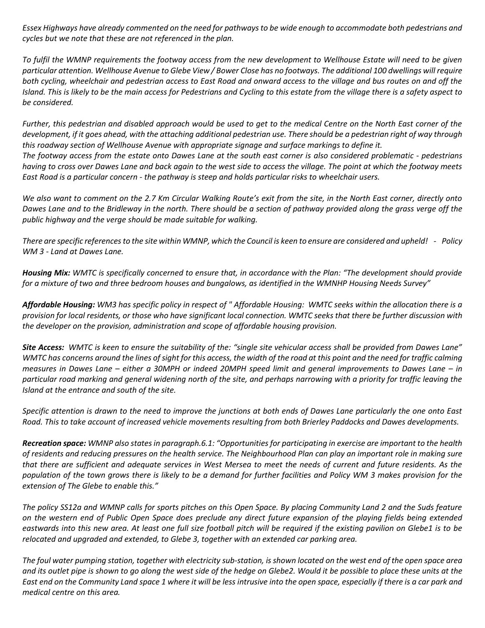*Essex Highways have already commented on the need for pathways to be wide enough to accommodate both pedestrians and cycles but we note that these are not referenced in the plan.*

*To fulfil the WMNP requirements the footway access from the new development to Wellhouse Estate will need to be given particular attention. Wellhouse Avenue to Glebe View / Bower Close has no footways. The additional 100 dwellings will require both cycling, wheelchair and pedestrian access to East Road and onward access to the village and bus routes on and off the Island. This is likely to be the main access for Pedestrians and Cycling to this estate from the village there is a safety aspect to be considered.* 

*Further, this pedestrian and disabled approach would be used to get to the medical Centre on the North East corner of the development, if it goes ahead, with the attaching additional pedestrian use. There should be a pedestrian right of way through this roadway section of Wellhouse Avenue with appropriate signage and surface markings to define it. The footway access from the estate onto Dawes Lane at the south east corner is also considered problematic - pedestrians having to cross over Dawes Lane and back again to the west side to access the village. The point at which the footway meets East Road is a particular concern - the pathway is steep and holds particular risks to wheelchair users.*

*We also want to comment on the 2.7 Km Circular Walking Route's exit from the site, in the North East corner, directly onto Dawes Lane and to the Bridleway in the north. There should be a section of pathway provided along the grass verge off the public highway and the verge should be made suitable for walking.*

*There are specific references to the site within WMNP, which the Council is keen to ensure are considered and upheld! - Policy WM 3 - Land at Dawes Lane.*

*Housing Mix: WMTC is specifically concerned to ensure that, in accordance with the Plan: "The development should provide for a mixture of two and three bedroom houses and bungalows, as identified in the WMNHP Housing Needs Survey"* 

*Affordable Housing: WM3 has specific policy in respect of " Affordable Housing: WMTC seeks within the allocation there is a provision for local residents, or those who have significant local connection. WMTC seeks that there be further discussion with the developer on the provision, administration and scope of affordable housing provision.* 

*Site Access: WMTC is keen to ensure the suitability of the: "single site vehicular access shall be provided from Dawes Lane" WMTC has concerns around the lines of sight for this access, the width of the road at this point and the need for traffic calming measures in Dawes Lane – either a 30MPH or indeed 20MPH speed limit and general improvements to Dawes Lane – in particular road marking and general widening north of the site, and perhaps narrowing with a priority for traffic leaving the Island at the entrance and south of the site.*

*Specific attention is drawn to the need to improve the junctions at both ends of Dawes Lane particularly the one onto East Road. This to take account of increased vehicle movements resulting from both Brierley Paddocks and Dawes developments.*

*Recreation space: WMNP also states in paragraph.6.1: "Opportunities for participating in exercise are important to the health of residents and reducing pressures on the health service. The Neighbourhood Plan can play an important role in making sure that there are sufficient and adequate services in West Mersea to meet the needs of current and future residents. As the population of the town grows there is likely to be a demand for further facilities and Policy WM 3 makes provision for the extension of The Glebe to enable this."*

*The policy SS12a and WMNP calls for sports pitches on this Open Space. By placing Community Land 2 and the Suds feature on the western end of Public Open Space does preclude any direct future expansion of the playing fields being extended eastwards into this new area. At least one full size football pitch will be required if the existing pavilion on Glebe1 is to be relocated and upgraded and extended, to Glebe 3, together with an extended car parking area.* 

*The foul water pumping station, together with electricity sub-station, is shown located on the west end of the open space area and its outlet pipe is shown to go along the west side of the hedge on Glebe2. Would it be possible to place these units at the East end on the Community Land space 1 where it will be less intrusive into the open space, especially if there is a car park and medical centre on this area.*